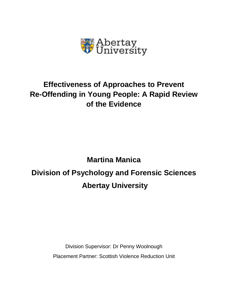

# **Effectiveness of Approaches to Prevent Re-Offending in Young People: A Rapid Review of the Evidence**

# **Martina Manica Division of Psychology and Forensic Sciences Abertay University**

Division Supervisor: Dr Penny Woolnough Placement Partner: Scottish Violence Reduction Unit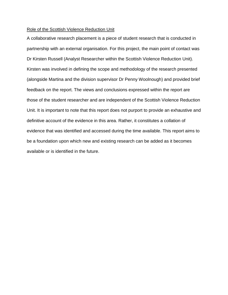# Role of the Scottish Violence Reduction Unit

A collaborative research placement is a piece of student research that is conducted in partnership with an external organisation. For this project, the main point of contact was Dr Kirsten Russell (Analyst Researcher within the Scottish Violence Reduction Unit). Kirsten was involved in defining the scope and methodology of the research presented (alongside Martina and the division supervisor Dr Penny Woolnough) and provided brief feedback on the report. The views and conclusions expressed within the report are those of the student researcher and are independent of the Scottish Violence Reduction Unit. It is important to note that this report does not purport to provide an exhaustive and definitive account of the evidence in this area. Rather, it constitutes a collation of evidence that was identified and accessed during the time available. This report aims to be a foundation upon which new and existing research can be added as it becomes available or is identified in the future.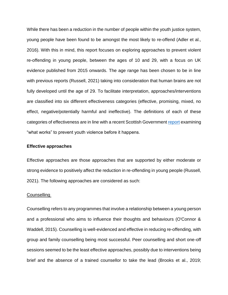While there has been a reduction in the number of people within the youth justice system, young people have been found to be amongst the most likely to re-offend (Adler et al., 2016). With this in mind, this report focuses on exploring approaches to prevent violent re-offending in young people, between the ages of 10 and 29, with a focus on UK evidence published from 2015 onwards. The age range has been chosen to be in line with previous reports (Russell, 2021) taking into consideration that human brains are not fully developed until the age of 29. To facilitate interpretation, approaches/interventions are classified into six different effectiveness categories (effective, promising, mixed, no effect, negative/potentially harmful and ineffective). The definitions of each of these categories of effectiveness are in line with a recent Scottish Government [report](https://www.gov.scot/binaries/content/documents/govscot/publications/research-and-analysis/2021/02/works-prevent-youth-violence-summary-evidence/documents/works-prevent-youth-violence-summary-evidence/works-prevent-youth-violence-summary-evidence/govscot%3Adocument/works-prevent-youth-violence-summary-evidence.pdf) examining "what works" to prevent youth violence before it happens.

#### **Effective approaches**

Effective approaches are those approaches that are supported by either moderate or strong evidence to positively affect the reduction in re-offending in young people (Russell, 2021). The following approaches are considered as such:

#### **Counselling**

Counselling refers to any programmes that involve a relationship between a young person and a professional who aims to influence their thoughts and behaviours (O'Connor & Waddell, 2015). Counselling is well-evidenced and effective in reducing re-offending, with group and family counselling being most successful. Peer counselling and short one-off sessions seemed to be the least effective approaches, possibly due to interventions being brief and the absence of a trained counsellor to take the lead (Brooks et al., 2019;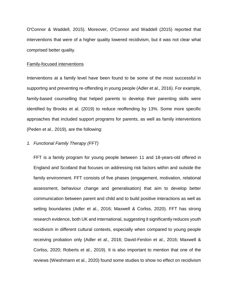O'Connor & Waddell, 2015). Moreover, O'Connor and Waddell (2015) reported that interventions that were of a higher quality lowered recidivism, but it was not clear what comprised better quality.

# Family-focused interventions

Interventions at a family level have been found to be some of the most successful in supporting and preventing re-offending in young people (Adler et al., 2016). For example, family-based counselling that helped parents to develop their parenting skills were identified by Brooks et al. (2019) to reduce reoffending by 13%. Some more specific approaches that included support programs for parents, as well as family interventions (Peden et al., 2019), are the following:

# *1. Functional Family Therapy (FFT)*

FFT is a family program for young people between 11 and 18-years-old offered in England and Scotland that focuses on addressing risk factors within and outside the family environment. FFT consists of five phases (engagement, motivation, relational assessment, behaviour change and generalisation) that aim to develop better communication between parent and child and to build positive interactions as well as setting boundaries (Adler et al., 2016; Maxwell & Corliss, 2020). FFT has strong research evidence, both UK and international, suggesting it significantly reduces youth recidivism in different cultural contexts, especially when compared to young people receiving probation only (Adler et al., 2016; David-Ferdon et al., 2016; Maxwell & Corliss, 2020; Roberts et al., 2019). It is also important to mention that one of the reviews (Wieshmann et al., 2020) found some studies to show no effect on recidivism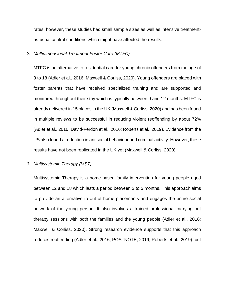rates, however, these studies had small sample sizes as well as intensive treatmentas-usual control conditions which might have affected the results.

# *2. Multidimensional Treatment Foster Care (MTFC)*

MTFC is an alternative to residential care for young chronic offenders from the age of 3 to 18 (Adler et al., 2016; Maxwell & Corliss, 2020). Young offenders are placed with foster parents that have received specialized training and are supported and monitored throughout their stay which is typically between 9 and 12 months. MTFC is already delivered in 15 places in the UK (Maxwell & Corliss, 2020) and has been found in multiple reviews to be successful in reducing violent reoffending by about 72% (Adler et al., 2016; David-Ferdon et al., 2016; Roberts et al., 2019). Evidence from the US also found a reduction in antisocial behaviour and criminal activity. However, these results have not been replicated in the UK yet (Maxwell & Corliss, 2020).

# *3. Multisystemic Therapy (MST)*

Multisystemic Therapy is a home-based family intervention for young people aged between 12 and 18 which lasts a period between 3 to 5 months. This approach aims to provide an alternative to out of home placements and engages the entire social network of the young person. It also involves a trained professional carrying out therapy sessions with both the families and the young people (Adler et al., 2016; Maxwell & Corliss, 2020). Strong research evidence supports that this approach reduces reoffending (Adler et al., 2016; POSTNOTE, 2019; Roberts et al., 2019), but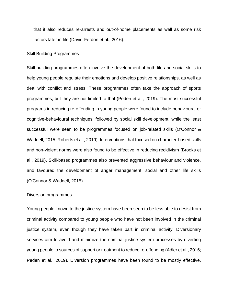that it also reduces re-arrests and out-of-home placements as well as some risk factors later in life (David-Ferdon et al., 2016).

#### Skill Building Programmes

Skill-building programmes often involve the development of both life and social skills to help young people regulate their emotions and develop positive relationships, as well as deal with conflict and stress. These programmes often take the approach of sports programmes, but they are not limited to that (Peden et al., 2019). The most successful programs in reducing re-offending in young people were found to include behavioural or cognitive-behavioural techniques, followed by social skill development, while the least successful were seen to be programmes focused on job-related skills (O'Connor & Waddell, 2015; Roberts et al., 2019). Interventions that focused on character-based skills and non-violent norms were also found to be effective in reducing recidivism (Brooks et al., 2019). Skill-based programmes also prevented aggressive behaviour and violence, and favoured the development of anger management, social and other life skills (O'Connor & Waddell, 2015).

#### Diversion programmes

Young people known to the justice system have been seen to be less able to desist from criminal activity compared to young people who have not been involved in the criminal justice system, even though they have taken part in criminal activity. Diversionary services aim to avoid and minimize the criminal justice system processes by diverting young people to sources of support or treatment to reduce re-offending (Adler et al., 2016; Peden et al., 2019). Diversion programmes have been found to be mostly effective,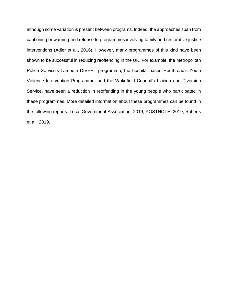although some variation is present between programs. Indeed, the approaches span from cautioning or warning and release to programmes involving family and restorative justice interventions (Adler et al., 2016). However, many programmes of this kind have been shown to be successful in reducing reoffending in the UK. For example, the Metropolitan Police Service's Lambeth DIVERT programme, the hospital based Redthread's Youth Violence Intervention Programme, and the Wakefield Council's Liaison and Diversion Service, have seen a reduction in reoffending in the young people who participated in these programmes. More detailed information about these programmes can be found in the following reports: Local Government Association, 2019; POSTNOTE, 2019; Roberts et al., 2019.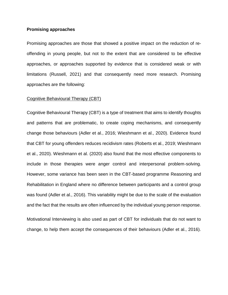#### **Promising approaches**

Promising approaches are those that showed a positive impact on the reduction of reoffending in young people, but not to the extent that are considered to be effective approaches, or approaches supported by evidence that is considered weak or with limitations (Russell, 2021) and that consequently need more research. Promising approaches are the following:

# Cognitive Behavioural Therapy (CBT)

Cognitive Behavioural Therapy (CBT) is a type of treatment that aims to identify thoughts and patterns that are problematic, to create coping mechanisms, and consequently change those behaviours (Adler et al., 2016; Wieshmann et al., 2020). Evidence found that CBT for young offenders reduces recidivism rates (Roberts et al., 2019; Wieshmann et al., 2020). Wieshmann et al. (2020) also found that the most effective components to include in those therapies were anger control and interpersonal problem-solving. However, some variance has been seen in the CBT-based programme Reasoning and Rehabilitation in England where no difference between participants and a control group was found (Adler et al., 2016). This variability might be due to the scale of the evaluation and the fact that the results are often influenced by the individual young person response.

Motivational Interviewing is also used as part of CBT for individuals that do not want to change, to help them accept the consequences of their behaviours (Adler et al., 2016).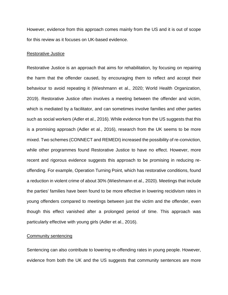However, evidence from this approach comes mainly from the US and it is out of scope for this review as it focuses on UK-based evidence.

#### Restorative Justice

Restorative Justice is an approach that aims for rehabilitation, by focusing on repairing the harm that the offender caused, by encouraging them to reflect and accept their behaviour to avoid repeating it (Wieshmann et al., 2020; World Health Organization, 2019). Restorative Justice often involves a meeting between the offender and victim, which is mediated by a facilitator, and can sometimes involve families and other parties such as social workers (Adler et al., 2016). While evidence from the US suggests that this is a promising approach (Adler et al., 2016), research from the UK seems to be more mixed. Two schemes (CONNECT and REMEDI) increased the possibility of re-conviction, while other programmes found Restorative Justice to have no effect. However, more recent and rigorous evidence suggests this approach to be promising in reducing reoffending. For example, Operation Turning Point, which has restorative conditions, found a reduction in violent crime of about 30% (Wieshmann et al., 2020). Meetings that include the parties' families have been found to be more effective in lowering recidivism rates in young offenders compared to meetings between just the victim and the offender, even though this effect vanished after a prolonged period of time. This approach was particularly effective with young girls (Adler et al., 2016).

#### Community sentencing

Sentencing can also contribute to lowering re-offending rates in young people. However, evidence from both the UK and the US suggests that community sentences are more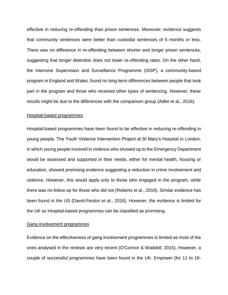effective in reducing re-offending than prison sentences. Moreover, evidence suggests that community sentences were better than custodial sentences of 6 months or less. There was no difference in re-offending between shorter and longer prison sentences, suggesting that longer detention does not lower re-offending rates. On the other hand, the Intensive Supervision and Surveillance Programme (ISSP), a community-based program in England and Wales, found no long-term differences between people that took part in the program and those who received other types of sentencing. However, these results might be due to the differences with the comparison group (Adler et al., 2016).

#### Hospital-based programmes

Hospital-based programmes have been found to be effective in reducing re-offending in young people. The Youth Violence Intervention Project at St Mary's Hospital in London, in which young people involved in violence who showed up to the Emergency Department would be assessed and supported in their needs, either for mental health, housing or education, showed promising evidence suggesting a reduction in crime involvement and violence. However, this would apply only to those who engaged in the program, while there was no follow up for those who did not (Roberts et al., 2019). Similar evidence has been found in the US (David-Ferdon et al., 2016). However, the evidence is limited for the UK so Hospital-based programmes can be classified as promising.

#### Gang involvement programmes

Evidence on the effectiveness of gang involvement programmes is limited as most of the ones analysed in the reviews are very recent (O'Connor & Waddell, 2015). However, a couple of successful programmes have been found in the UK. Empower (for 11 to 18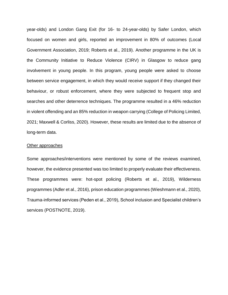year-olds) and London Gang Exit (for 16- to 24-year-olds) by Safer London, which focused on women and girls, reported an improvement in 80% of outcomes (Local Government Association, 2019; Roberts et al., 2019). Another programme in the UK is the Community Initiative to Reduce Violence (CIRV) in Glasgow to reduce gang involvement in young people. In this program, young people were asked to choose between service engagement, in which they would receive support if they changed their behaviour, or robust enforcement, where they were subjected to frequent stop and searches and other deterrence techniques. The programme resulted in a 46% reduction in violent offending and an 85% reduction in weapon carrying (College of Policing Limited, 2021; Maxwell & Corliss, 2020). However, these results are limited due to the absence of long-term data.

#### Other approaches

Some approaches/interventions were mentioned by some of the reviews examined, however, the evidence presented was too limited to properly evaluate their effectiveness. These programmes were: hot-spot policing (Roberts et al., 2019), Wilderness programmes (Adler et al., 2016), prison education programmes (Wieshmann et al., 2020), Trauma-informed services (Peden et al., 2019), School inclusion and Specialist children's services (POSTNOTE, 2019).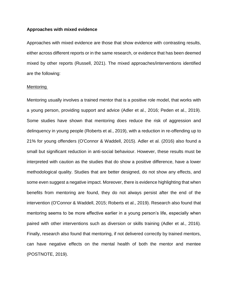#### **Approaches with mixed evidence**

Approaches with mixed evidence are those that show evidence with contrasting results, either across different reports or in the same research, or evidence that has been deemed mixed by other reports (Russell, 2021). The mixed approaches/interventions identified are the following:

#### Mentoring

Mentoring usually involves a trained mentor that is a positive role model, that works with a young person, providing support and advice (Adler et al., 2016; Peden et al., 2019). Some studies have shown that mentoring does reduce the risk of aggression and delinquency in young people (Roberts et al., 2019), with a reduction in re-offending up to 21% for young offenders (O'Connor & Waddell, 2015). Adler et al. (2016) also found a small but significant reduction in anti-social behaviour. However, these results must be interpreted with caution as the studies that do show a positive difference, have a lower methodological quality. Studies that are better designed, do not show any effects, and some even suggest a negative impact. Moreover, there is evidence highlighting that when benefits from mentoring are found, they do not always persist after the end of the intervention (O'Connor & Waddell, 2015; Roberts et al., 2019). Research also found that mentoring seems to be more effective earlier in a young person's life, especially when paired with other interventions such as diversion or skills training (Adler et al., 2016). Finally, research also found that mentoring, if not delivered correctly by trained mentors, can have negative effects on the mental health of both the mentor and mentee (POSTNOTE, 2019).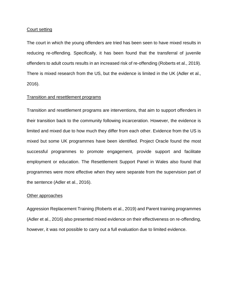#### Court setting

The court in which the young offenders are tried has been seen to have mixed results in reducing re-offending. Specifically, it has been found that the transferral of juvenile offenders to adult courts results in an increased risk of re-offending (Roberts et al., 2019). There is mixed research from the US, but the evidence is limited in the UK (Adler et al., 2016).

# Transition and resettlement programs

Transition and resettlement programs are interventions, that aim to support offenders in their transition back to the community following incarceration. However, the evidence is limited and mixed due to how much they differ from each other. Evidence from the US is mixed but some UK programmes have been identified. Project Oracle found the most successful programmes to promote engagement, provide support and facilitate employment or education. The Resettlement Support Panel in Wales also found that programmes were more effective when they were separate from the supervision part of the sentence (Adler et al., 2016).

#### Other approaches

Aggression Replacement Training (Roberts et al., 2019) and Parent training programmes (Adler et al., 2016) also presented mixed evidence on their effectiveness on re-offending, however, it was not possible to carry out a full evaluation due to limited evidence.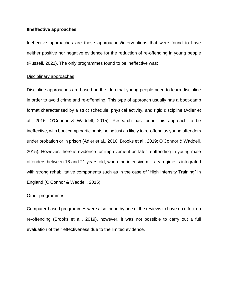#### **IIneffective approaches**

Ineffective approaches are those approaches/interventions that were found to have neither positive nor negative evidence for the reduction of re-offending in young people (Russell, 2021). The only programmes found to be ineffective was:

#### Disciplinary approaches

Discipline approaches are based on the idea that young people need to learn discipline in order to avoid crime and re-offending. This type of approach usually has a boot-camp format characterised by a strict schedule, physical activity, and rigid discipline (Adler et al., 2016; O'Connor & Waddell, 2015). Research has found this approach to be ineffective, with boot camp participants being just as likely to re-offend as young offenders under probation or in prison (Adler et al., 2016; Brooks et al., 2019; O'Connor & Waddell, 2015). However, there is evidence for improvement on later reoffending in young male offenders between 18 and 21 years old, when the intensive military regime is integrated with strong rehabilitative components such as in the case of "High Intensity Training" in England (O'Connor & Waddell, 2015).

#### Other programmes

Computer-based programmes were also found by one of the reviews to have no effect on re-offending (Brooks et al., 2019), however, it was not possible to carry out a full evaluation of their effectiveness due to the limited evidence.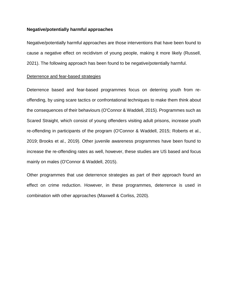# **Negative/potentially harmful approaches**

Negative/potentially harmful approaches are those interventions that have been found to cause a negative effect on recidivism of young people, making it more likely (Russell, 2021). The following approach has been found to be negative/potentially harmful.

# Deterrence and fear-based strategies

Deterrence based and fear-based programmes focus on deterring youth from reoffending, by using scare tactics or confrontational techniques to make them think about the consequences of their behaviours (O'Connor & Waddell, 2015). Programmes such as Scared Straight, which consist of young offenders visiting adult prisons, increase youth re-offending in participants of the program (O'Connor & Waddell, 2015; Roberts et al., 2019; Brooks et al., 2019). Other juvenile awareness programmes have been found to increase the re-offending rates as well, however, these studies are US based and focus mainly on males (O'Connor & Waddell, 2015).

Other programmes that use deterrence strategies as part of their approach found an effect on crime reduction. However, in these programmes, deterrence is used in combination with other approaches (Maxwell & Corliss, 2020).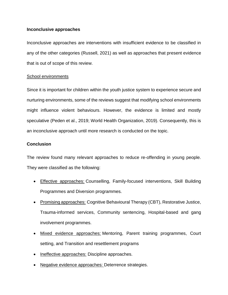# **Inconclusive approaches**

Inconclusive approaches are interventions with insufficient evidence to be classified in any of the other categories (Russell, 2021) as well as approaches that present evidence that is out of scope of this review.

# School environments

Since it is important for children within the youth justice system to experience secure and nurturing environments, some of the reviews suggest that modifying school environments might influence violent behaviours. However, the evidence is limited and mostly speculative (Peden et al., 2019; World Health Organization, 2019). Consequently, this is an inconclusive approach until more research is conducted on the topic.

# **Conclusion**

The review found many relevant approaches to reduce re-offending in young people. They were classified as the following:

- Effective approaches: Counselling, Family-focused interventions, Skill Building Programmes and Diversion programmes.
- Promising approaches: Cognitive Behavioural Therapy (CBT), Restorative Justice, Trauma-informed services, Community sentencing, Hospital-based and gang involvement programmes.
- Mixed evidence approaches: Mentoring, Parent training programmes, Court setting, and Transition and resettlement programs
- Ineffective approaches: Discipline approaches.
- Negative evidence approaches: Deterrence strategies.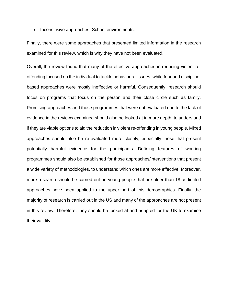• Inconclusive approaches: School environments.

Finally, there were some approaches that presented limited information in the research examined for this review, which is why they have not been evaluated.

Overall, the review found that many of the effective approaches in reducing violent reoffending focused on the individual to tackle behavioural issues, while fear and disciplinebased approaches were mostly ineffective or harmful. Consequently, research should focus on programs that focus on the person and their close circle such as family. Promising approaches and those programmes that were not evaluated due to the lack of evidence in the reviews examined should also be looked at in more depth, to understand if they are viable options to aid the reduction in violent re-offending in young people. Mixed approaches should also be re-evaluated more closely, especially those that present potentially harmful evidence for the participants. Defining features of working programmes should also be established for those approaches/interventions that present a wide variety of methodologies, to understand which ones are more effective. Moreover, more research should be carried out on young people that are older than 18 as limited approaches have been applied to the upper part of this demographics. Finally, the majority of research is carried out in the US and many of the approaches are not present in this review. Therefore, they should be looked at and adapted for the UK to examine their validity.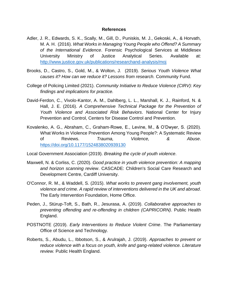# **References**

- Adler, J. R., Edwards, S. K., Scally, M., Gill, D., Puniskis, M. J., Gekoski, A., & Horvath, M. A. H. (2016). *What Works in Managing Young People who Offend? A Summary of the International Evidence*. Forensic Psychological Services at Middlesex University Ministry of Justice Analytical Series. Available at: <http://www.justice.gov.uk/publications/researchand-analysis/moj>
- Brooks, D., Castro, S., Gold, M., & Wolton, J. (2019). *Serious Youth Violence What causes it? How can we reduce it? Lessons from research.* Community Fund.
- College of Policing Limited (2021). *Community Initiative to Reduce Violence (CIRV): Key findings and implications for practice.*
- David-Ferdon, C., Vivolo-Kantor, A. M., Dahlberg, L. L., Marshall, K. J., Rainford, N. & Hall, J. E. (2016). *A Comprehensive Technical Package for the Prevention of Youth Violence and Associated Risk Behaviors*. National Center for Injury Prevention and Control, Centers for Disease Control and Prevention.
- Kovalenko, A. G., Abraham, C., Graham-Rowe, E., Levine, M., & O'Dwyer, S. (2020). What Works in Violence Prevention Among Young People?: A Systematic Review of Reviews. *Trauma, Violence, & Abuse*. <https://doi.org/10.1177/1524838020939130>
- Local Government Association (2019). *Breaking the cycle of youth violence*.
- Maxwell, N. & Corliss, C. (2020). *Good practice in youth violence prevention: A mapping and horizon scanning review*. CASCADE: Children's Social Care Research and Development Centre, Cardiff University.
- O'Connor, R. M., & Waddell, S. (2015). *What works to prevent gang involvement, youth violence and crime. A rapid review of interventions delivered in the UK and abroad*. The Early Intervention Foundation, Home Office.
- Peden, J., Stürup-Toft, S., Bath, R., Jesurasa, A. (2019). *Collaborative approaches to preventing offending and re-offending in children (CAPRICORN)*. Public Health England.
- POSTNOTE (2019). *Early Interventions to Reduce Violent Crime*. The Parliamentary Office of Science and Technology.
- Roberts, S., Abudu, L., Ibbotson, S., & Arulrajah, J. (2019). *Approaches to prevent or reduce violence with a focus on youth, knife and gang-related violence. Literature review.* Public Health England.